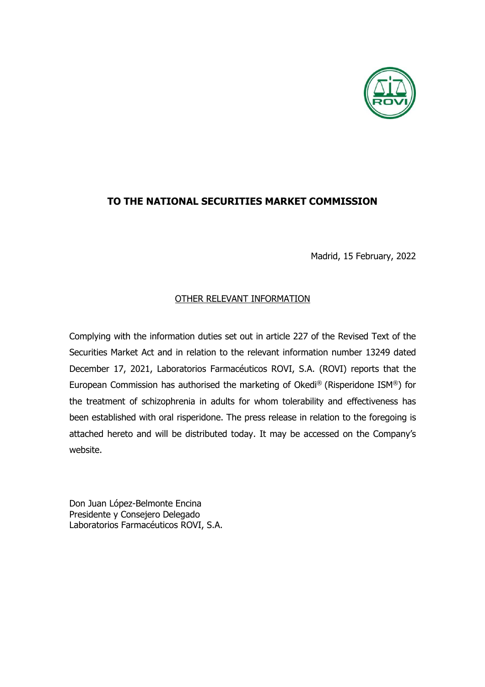

# **TO THE NATIONAL SECURITIES MARKET COMMISSION**

Madrid, 15 February, 2022

## OTHER RELEVANT INFORMATION

Complying with the information duties set out in article 227 of the Revised Text of the Securities Market Act and in relation to the relevant information number 13249 dated December 17, 2021, Laboratorios Farmacéuticos ROVI, S.A. (ROVI) reports that the European Commission has authorised the marketing of Okedi® (Risperidone ISM®) for the treatment of schizophrenia in adults for whom tolerability and effectiveness has been established with oral risperidone. The press release in relation to the foregoing is attached hereto and will be distributed today. It may be accessed on the Company's website.

Don Juan López-Belmonte Encina Presidente y Consejero Delegado Laboratorios Farmacéuticos ROVI, S.A.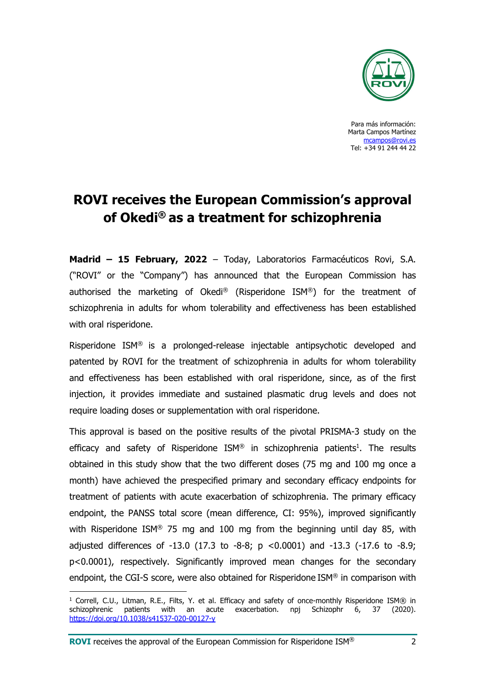

Para más información: Marta Campos Martínez mcampos@rovi.es Tel: +34 91 244 44 22

# **ROVI receives the European Commission's approval of Okedi® as a treatment for schizophrenia**

**Madrid – 15 February, 2022** – Today, Laboratorios Farmacéuticos Rovi, S.A. ("ROVI" or the "Company") has announced that the European Commission has authorised the marketing of Okedi® (Risperidone ISM®) for the treatment of schizophrenia in adults for whom tolerability and effectiveness has been established with oral risperidone.

Risperidone ISM® is a prolonged-release injectable antipsychotic developed and patented by ROVI for the treatment of schizophrenia in adults for whom tolerability and effectiveness has been established with oral risperidone, since, as of the first injection, it provides immediate and sustained plasmatic drug levels and does not require loading doses or supplementation with oral risperidone.

This approval is based on the positive results of the pivotal PRISMA-3 study on the efficacy and safety of Risperidone  $ISM^{\circ}$  in schizophrenia patients<sup>1</sup>. The results obtained in this study show that the two different doses (75 mg and 100 mg once a month) have achieved the prespecified primary and secondary efficacy endpoints for treatment of patients with acute exacerbation of schizophrenia. The primary efficacy endpoint, the PANSS total score (mean difference, CI: 95%), improved significantly with Risperidone ISM® 75 mg and 100 mg from the beginning until day 85, with adjusted differences of  $-13.0$  (17.3 to  $-8-8$ ; p  $\lt 0.0001$ ) and  $-13.3$  ( $-17.6$  to  $-8.9$ ; p<0.0001), respectively. Significantly improved mean changes for the secondary endpoint, the CGI-S score, were also obtained for Risperidone ISM® in comparison with

<sup>&</sup>lt;sup>1</sup> Correll, C.U., Litman, R.E., Filts, Y. et al. Efficacy and safety of once-monthly Risperidone ISM® in schizophrenic patients with an acute exacerbation. npj Schizophr 6, 37 (2020). https://doi.org/10.1038/s41537-020-00127-y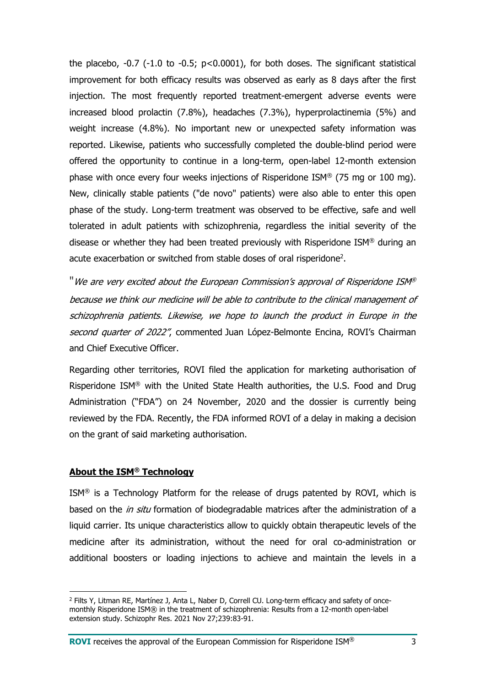the placebo, -0.7 (-1.0 to -0.5; p<0.0001), for both doses. The significant statistical improvement for both efficacy results was observed as early as 8 days after the first injection. The most frequently reported treatment-emergent adverse events were increased blood prolactin (7.8%), headaches (7.3%), hyperprolactinemia (5%) and weight increase (4.8%). No important new or unexpected safety information was reported. Likewise, patients who successfully completed the double-blind period were offered the opportunity to continue in a long-term, open-label 12-month extension phase with once every four weeks injections of Risperidone ISM<sup>®</sup> (75 mg or 100 mg). New, clinically stable patients ("de novo" patients) were also able to enter this open phase of the study. Long-term treatment was observed to be effective, safe and well tolerated in adult patients with schizophrenia, regardless the initial severity of the disease or whether they had been treated previously with Risperidone ISM® during an acute exacerbation or switched from stable doses of oral risperidone<sup>2</sup>.

 $"$  We are very excited about the European Commission's approval of Risperidone ISM $^\circ$ because we think our medicine will be able to contribute to the clinical management of schizophrenia patients. Likewise, we hope to launch the product in Europe in the second quarter of 2022", commented Juan López-Belmonte Encina, ROVI's Chairman and Chief Executive Officer.

Regarding other territories, ROVI filed the application for marketing authorisation of Risperidone ISM® with the United State Health authorities, the U.S. Food and Drug Administration ("FDA") on 24 November, 2020 and the dossier is currently being reviewed by the FDA. Recently, the FDA informed ROVI of a delay in making a decision on the grant of said marketing authorisation.

### **About the ISM® Technology**

ISM® is a Technology Platform for the release of drugs patented by ROVI, which is based on the *in situ* formation of biodegradable matrices after the administration of a liquid carrier. Its unique characteristics allow to quickly obtain therapeutic levels of the medicine after its administration, without the need for oral co-administration or additional boosters or loading injections to achieve and maintain the levels in a

<sup>&</sup>lt;sup>2</sup> Filts Y, Litman RE, Martínez J, Anta L, Naber D, Correll CU. Long-term efficacy and safety of oncemonthly Risperidone ISM® in the treatment of schizophrenia: Results from a 12-month open-label extension study. Schizophr Res. 2021 Nov 27;239:83-91.